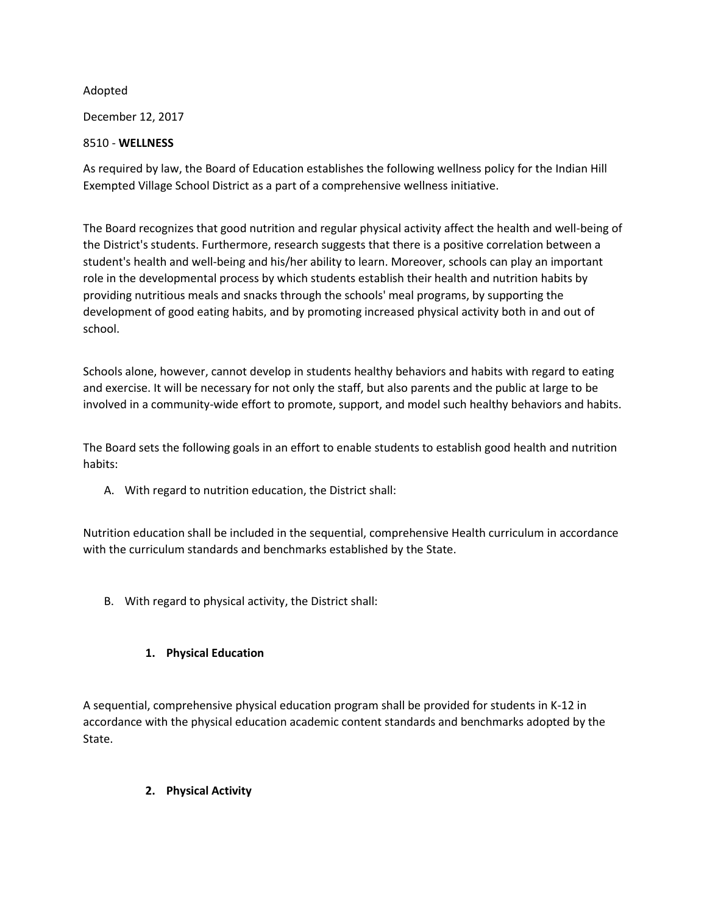## Adopted

December 12, 2017

## 8510 - **WELLNESS**

As required by law, the Board of Education establishes the following wellness policy for the Indian Hill Exempted Village School District as a part of a comprehensive wellness initiative.

The Board recognizes that good nutrition and regular physical activity affect the health and well-being of the District's students. Furthermore, research suggests that there is a positive correlation between a student's health and well-being and his/her ability to learn. Moreover, schools can play an important role in the developmental process by which students establish their health and nutrition habits by providing nutritious meals and snacks through the schools' meal programs, by supporting the development of good eating habits, and by promoting increased physical activity both in and out of school.

Schools alone, however, cannot develop in students healthy behaviors and habits with regard to eating and exercise. It will be necessary for not only the staff, but also parents and the public at large to be involved in a community-wide effort to promote, support, and model such healthy behaviors and habits.

The Board sets the following goals in an effort to enable students to establish good health and nutrition habits:

A. With regard to nutrition education, the District shall:

Nutrition education shall be included in the sequential, comprehensive Health curriculum in accordance with the curriculum standards and benchmarks established by the State.

B. With regard to physical activity, the District shall:

## **1. Physical Education**

A sequential, comprehensive physical education program shall be provided for students in K-12 in accordance with the physical education academic content standards and benchmarks adopted by the State.

## **2. Physical Activity**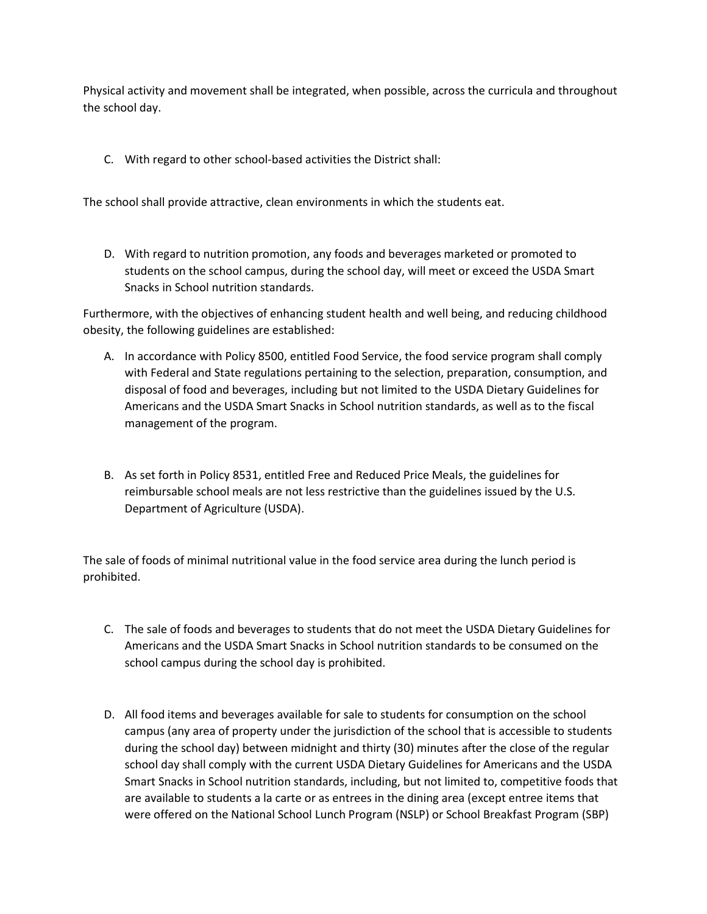Physical activity and movement shall be integrated, when possible, across the curricula and throughout the school day.

C. With regard to other school-based activities the District shall:

The school shall provide attractive, clean environments in which the students eat.

D. With regard to nutrition promotion, any foods and beverages marketed or promoted to students on the school campus, during the school day, will meet or exceed the USDA Smart Snacks in School nutrition standards.

Furthermore, with the objectives of enhancing student health and well being, and reducing childhood obesity, the following guidelines are established:

- A. In accordance with Policy 8500, entitled Food Service, the food service program shall comply with Federal and State regulations pertaining to the selection, preparation, consumption, and disposal of food and beverages, including but not limited to the USDA Dietary Guidelines for Americans and the USDA Smart Snacks in School nutrition standards, as well as to the fiscal management of the program.
- B. As set forth in Policy 8531, entitled Free and Reduced Price Meals, the guidelines for reimbursable school meals are not less restrictive than the guidelines issued by the U.S. Department of Agriculture (USDA).

The sale of foods of minimal nutritional value in the food service area during the lunch period is prohibited.

- C. The sale of foods and beverages to students that do not meet the USDA Dietary Guidelines for Americans and the USDA Smart Snacks in School nutrition standards to be consumed on the school campus during the school day is prohibited.
- D. All food items and beverages available for sale to students for consumption on the school campus (any area of property under the jurisdiction of the school that is accessible to students during the school day) between midnight and thirty (30) minutes after the close of the regular school day shall comply with the current USDA Dietary Guidelines for Americans and the USDA Smart Snacks in School nutrition standards, including, but not limited to, competitive foods that are available to students a la carte or as entrees in the dining area (except entree items that were offered on the National School Lunch Program (NSLP) or School Breakfast Program (SBP)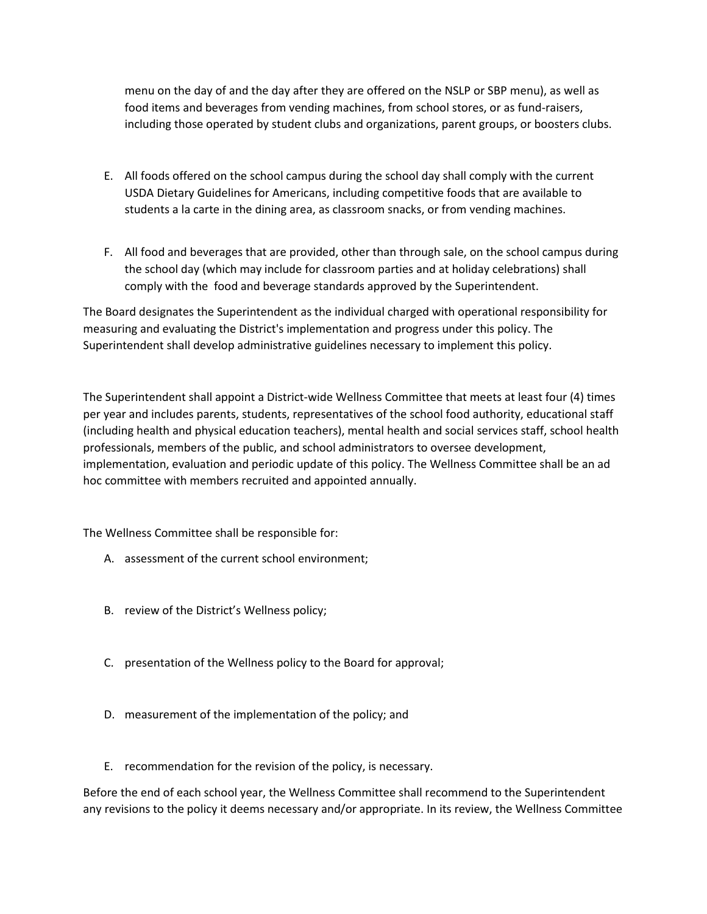menu on the day of and the day after they are offered on the NSLP or SBP menu), as well as food items and beverages from vending machines, from school stores, or as fund-raisers, including those operated by student clubs and organizations, parent groups, or boosters clubs.

- E. All foods offered on the school campus during the school day shall comply with the current USDA Dietary Guidelines for Americans, including competitive foods that are available to students a la carte in the dining area, as classroom snacks, or from vending machines.
- F. All food and beverages that are provided, other than through sale, on the school campus during the school day (which may include for classroom parties and at holiday celebrations) shall comply with the food and beverage standards approved by the Superintendent.

The Board designates the Superintendent as the individual charged with operational responsibility for measuring and evaluating the District's implementation and progress under this policy. The Superintendent shall develop administrative guidelines necessary to implement this policy.

The Superintendent shall appoint a District-wide Wellness Committee that meets at least four (4) times per year and includes parents, students, representatives of the school food authority, educational staff (including health and physical education teachers), mental health and social services staff, school health professionals, members of the public, and school administrators to oversee development, implementation, evaluation and periodic update of this policy. The Wellness Committee shall be an ad hoc committee with members recruited and appointed annually.

The Wellness Committee shall be responsible for:

- A. assessment of the current school environment;
- B. review of the District's Wellness policy;
- C. presentation of the Wellness policy to the Board for approval;
- D. measurement of the implementation of the policy; and
- E. recommendation for the revision of the policy, is necessary.

Before the end of each school year, the Wellness Committee shall recommend to the Superintendent any revisions to the policy it deems necessary and/or appropriate. In its review, the Wellness Committee